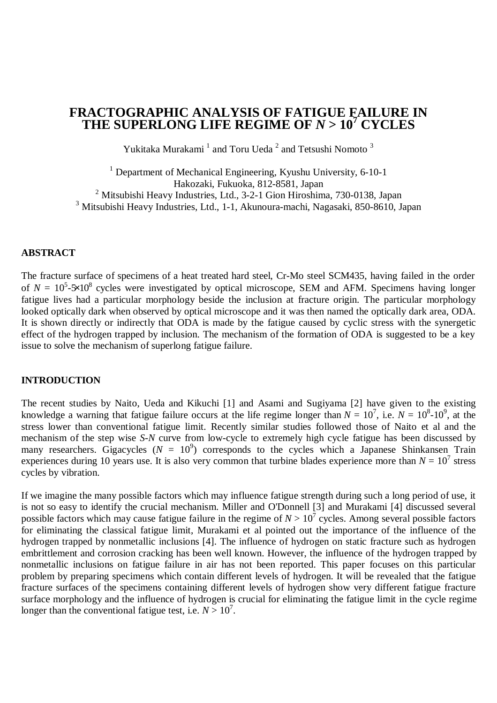# **FRACTOGRAPHIC ANALYSIS OF FATIGUE FAILURE IN THE SUPERLONG LIFE REGIME OF** *N* **> 10<sup>7</sup> CYCLES**

Yukitaka Murakami<sup>1</sup> and Toru Ueda<sup>2</sup> and Tetsushi Nomoto<sup>3</sup>

<sup>1</sup> Department of Mechanical Engineering, Kyushu University, 6-10-1 Hakozaki, Fukuoka, 812-8581, Japan <sup>2</sup> Mitsubishi Heavy Industries, Ltd., 3-2-1 Gion Hiroshima, 730-0138, Japan <sup>3</sup> Mitsubishi Heavy Industries, Ltd., 1-1, Akunoura-machi, Nagasaki, 850-8610, Japan

#### **ABSTRACT**

The fracture surface of specimens of a heat treated hard steel, Cr-Mo steel SCM435, having failed in the order of  $N = 10^5$ - $\frac{1}{2}$  cycles were investigated by optical microscope, SEM and AFM. Specimens having longer fatigue lives had a particular morphology beside the inclusion at fracture origin. The particular morphology looked optically dark when observed by optical microscope and it was then named the optically dark area, ODA. It is shown directly or indirectly that ODA is made by the fatigue caused by cyclic stress with the synergetic effect of the hydrogen trapped by inclusion. The mechanism of the formation of ODA is suggested to be a key issue to solve the mechanism of superlong fatigue failure.

#### **INTRODUCTION**

The recent studies by Naito, Ueda and Kikuchi [1] and Asami and Sugiyama [2] have given to the existing knowledge a warning that fatigue failure occurs at the life regime longer than  $N = 10^7$ , i.e.  $N = 10^8$ -10<sup>9</sup>, at the stress lower than conventional fatigue limit. Recently similar studies followed those of Naito et al and the mechanism of the step wise *S-N* curve from low-cycle to extremely high cycle fatigue has been discussed by many researchers. Gigacycles  $(N = 10^9)$  corresponds to the cycles which a Japanese Shinkansen Train experiences during 10 years use. It is also very common that turbine blades experience more than  $N = 10^7$  stress cycles by vibration.

If we imagine the many possible factors which may influence fatigue strength during such a long period of use, it is not so easy to identify the crucial mechanism. Miller and O'Donnell [3] and Murakami [4] discussed several possible factors which may cause fatigue failure in the regime of  $N > 10^7$  cycles. Among several possible factors for eliminating the classical fatigue limit, Murakami et al pointed out the importance of the influence of the hydrogen trapped by nonmetallic inclusions [4]. The influence of hydrogen on static fracture such as hydrogen embrittlement and corrosion cracking has been well known. However, the influence of the hydrogen trapped by nonmetallic inclusions on fatigue failure in air has not been reported. This paper focuses on this particular problem by preparing specimens which contain different levels of hydrogen. It will be revealed that the fatigue fracture surfaces of the specimens containing different levels of hydrogen show very different fatigue fracture surface morphology and the influence of hydrogen is crucial for eliminating the fatigue limit in the cycle regime longer than the conventional fatigue test, i.e.  $N > 10^7$ .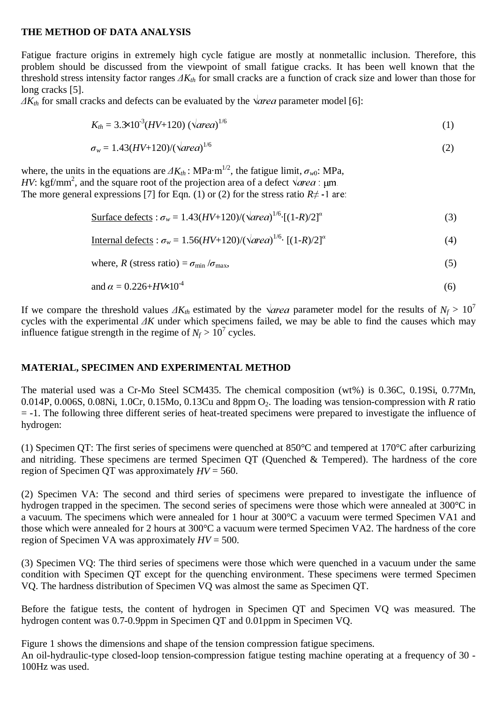# **THE METHOD OF DATA ANALYSIS**

Fatigue fracture origins in extremely high cycle fatigue are mostly at nonmetallic inclusion. Therefore, this problem should be discussed from the viewpoint of small fatigue cracks. It has been well known that the threshold stress intensity factor ranges  $\Delta K_{th}$  for small cracks are a function of crack size and lower than those for long cracks [5].

 $\Delta K_{th}$  for small cracks and defects can be evaluated by the  $\sqrt{\text{area}}$  parameter model [6]:

$$
K_{th} = 3.3 \times 10^{-3} (HV + 120) \ (\sqrt{\text{area}})^{1/6} \tag{1}
$$

$$
\sigma_w = 1.43 (HV + 120) / (\sqrt{\text{area}})^{1/6} \tag{2}
$$

where, the units in the equations are  $\Delta K_{th}$ : MPa·m<sup>1/2</sup>, the fatigue limit,  $\sigma_{w0}$ : MPa, *HV*: kgf/mm<sup>2</sup>, and the square root of the projection area of a defect  $\sqrt{area}$ :  $\mu$ m. The more general expressions [7] for Eqn. (1) or (2) for the stress ratio  $R \neq -1$  are:

$$
\text{Surface defects}: \sigma_w = 1.43(HV + 120) / (\sqrt{\text{area}})^{1/6} \cdot [(1 - R)/2]^{\alpha} \tag{3}
$$

Internal defects :  $\sigma_w = 1.56(HV+120)/(\sqrt{\alpha} \text{re} \alpha)^{1/6} \cdot [(1-R)/2]^{\alpha}$  (4)

where, 
$$
R
$$
 (stress ratio) =  $\sigma_{\min} / \sigma_{\max}$ , (5)

$$
and \alpha = 0.226 + H\text{W}10^4 \tag{6}
$$

If we compare the threshold values  $\Delta K_{th}$  estimated by the  $\sqrt{\alpha r}$  parameter model for the results of  $N_f > 10^7$ cycles with the experimental  $\Delta K$  under which specimens failed, we may be able to find the causes which may influence fatigue strength in the regime of  $N_f > 10^7$  cycles.

# **MATERIAL, SPECIMEN AND EXPERIMENTAL METHOD**

The material used was a Cr-Mo Steel SCM435. The chemical composition (wt%) is 0.36C, 0.19Si, 0.77Mn, 0.014P, 0.006S, 0.08Ni, 1.0Cr, 0.15Mo, 0.13Cu and 8ppm O<sub>2</sub>. The loading was tension-compression with *R* ratio = -1. The following three different series of heat-treated specimens were prepared to investigate the influence of hydrogen:

(1) Specimen QT: The first series of specimens were quenched at 850°C and tempered at 170°C after carburizing and nitriding. These specimens are termed Specimen QT (Quenched & Tempered). The hardness of the core region of Specimen QT was approximately *HV* = 560.

(2) Specimen VA: The second and third series of specimens were prepared to investigate the influence of hydrogen trapped in the specimen. The second series of specimens were those which were annealed at 300°C in a vacuum. The specimens which were annealed for 1 hour at 300°C a vacuum were termed Specimen VA1 and those which were annealed for 2 hours at 300°C a vacuum were termed Specimen VA2. The hardness of the core region of Specimen VA was approximately *HV* = 500.

(3) Specimen VQ: The third series of specimens were those which were quenched in a vacuum under the same condition with Specimen QT except for the quenching environment. These specimens were termed Specimen VQ. The hardness distribution of Specimen VQ was almost the same as Specimen QT.

Before the fatigue tests, the content of hydrogen in Specimen QT and Specimen VQ was measured. The hydrogen content was 0.7-0.9ppm in Specimen QT and 0.01ppm in Specimen VQ.

Figure 1 shows the dimensions and shape of the tension compression fatigue specimens. An oil-hydraulic-type closed-loop tension-compression fatigue testing machine operating at a frequency of 30 - 100Hz was used.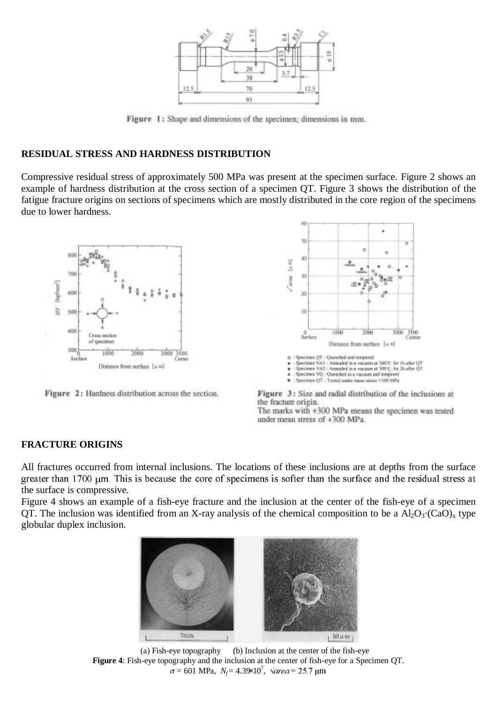

Figure 1: Shape and dimensions of the specimen; dimensions in mm.

# **RESIDUAL STRESS AND HARDNESS DISTRIBUTION**

Compressive residual stress of approximately 500 MPa was present at the specimen surface. Figure 2 shows an example of hardness distribution at the cross section of a specimen QT. Figure 3 shows the distribution of the fatigue fracture origins on sections of specimens which are mostly distributed in the core region of the specimens due to lower hardness.



Figure 2: Hardness distribution across the section.



Figure 3: Size and radial distribution of the inclusions at the fracture origin. The marks with +300 MPa means the specimen was tested under mean stress of +300 MPa.

# **FRACTURE ORIGINS**

All fractures occurred from internal inclusions. The locations of these inclusions are at depths from the surface greater than 1700 µm. This is because the core of specimens is softer than the surface and the residual stress at the surface is compressive.

Figure 4 shows an example of a fish-eye fracture and the inclusion at the center of the fish-eye of a specimen QT. The inclusion was identified from an X-ray analysis of the chemical composition to be a  $Al_2O_3$ ·(CaO)<sub>x</sub> type globular duplex inclusion.



 (a) Fish-eye topography (b) Inclusion at the center of the fish-eye **Figure 4**: Fish-eye topography and the inclusion at the center of fish-eye for a Specimen QT.  $\sigma$  = 601 MPa,  $N_f$  = 4.39×10<sup>7</sup>,  $\sqrt{area}$  = 25.7 µm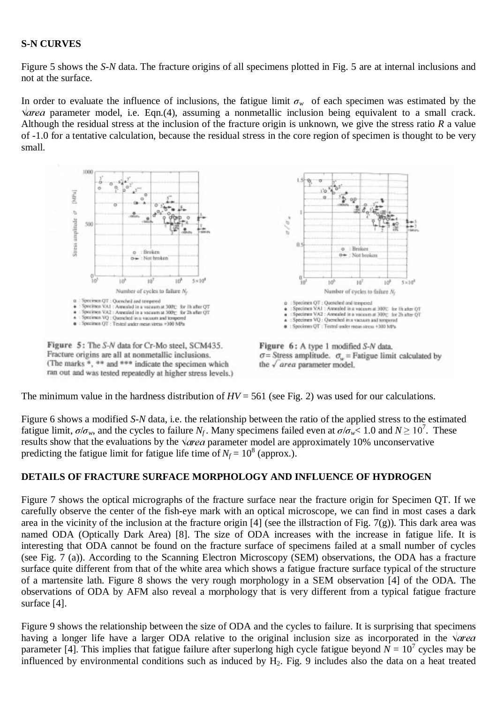# **S-N CURVES**

Figure 5 shows the *S-N* data. The fracture origins of all specimens plotted in Fig. 5 are at internal inclusions and not at the surface.

In order to evaluate the influence of inclusions, the fatigue limit  $\sigma_w$  of each specimen was estimated by the  $\sqrt{\alpha}$  parameter model, i.e. Eqn.(4), assuming a nonmetallic inclusion being equivalent to a small crack. Although the residual stress at the inclusion of the fracture origin is unknown, we give the stress ratio *R* a value of -1.0 for a tentative calculation, because the residual stress in the core region of specimen is thought to be very small.



The minimum value in the hardness distribution of  $HV = 561$  (see Fig. 2) was used for our calculations.

Figure 6 shows a modified *S-N* data, i.e. the relationship between the ratio of the applied stress to the estimated fatigue limit,  $\sigma/\sigma_w$ , and the cycles to failure *N<sub>f</sub>*. Many specimens failed even at  $\sigma/\sigma_w < 1.0$  and  $N \ge 10^7$ . These results show that the evaluations by the  $\sqrt{\alpha}$  parameter model are approximately 10% unconservative predicting the fatigue limit for fatigue life time of  $N_f = 10^8$  (approx.).

# **DETAILS OF FRACTURE SURFACE MORPHOLOGY AND INFLUENCE OF HYDROGEN**

Figure 7 shows the optical micrographs of the fracture surface near the fracture origin for Specimen QT. If we carefully observe the center of the fish-eye mark with an optical microscope, we can find in most cases a dark area in the vicinity of the inclusion at the fracture origin  $[4]$  (see the illstraction of Fig. 7(g)). This dark area was named ODA (Optically Dark Area) [8]. The size of ODA increases with the increase in fatigue life. It is interesting that ODA cannot be found on the fracture surface of specimens failed at a small number of cycles (see Fig. 7 (a)). According to the Scanning Electron Microscopy (SEM) observations, the ODA has a fracture surface quite different from that of the white area which shows a fatigue fracture surface typical of the structure of a martensite lath. Figure 8 shows the very rough morphology in a SEM observation [4] of the ODA. The observations of ODA by AFM also reveal a morphology that is very different from a typical fatigue fracture surface [4].

Figure 9 shows the relationship between the size of ODA and the cycles to failure. It is surprising that specimens having a longer life have a larger ODA relative to the original inclusion size as incorporated in the  $\sqrt{area}$ parameter [4]. This implies that fatigue failure after superlong high cycle fatigue beyond  $N = 10^7$  cycles may be influenced by environmental conditions such as induced by  $H_2$ . Fig. 9 includes also the data on a heat treated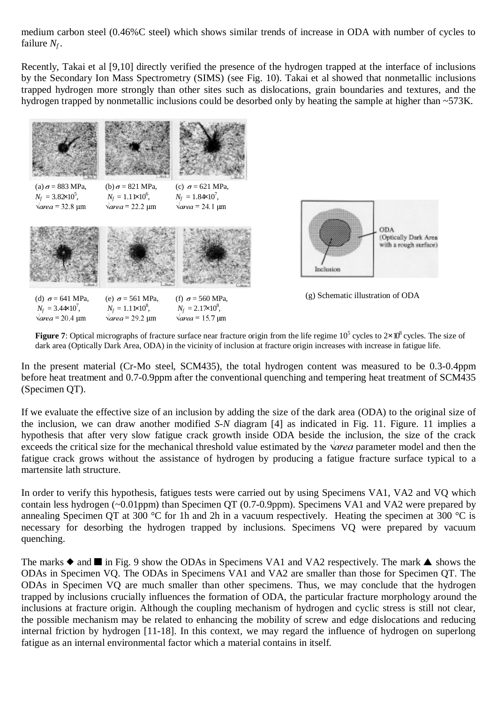medium carbon steel (0.46%C steel) which shows similar trends of increase in ODA with number of cycles to failure *Nf* .

Recently, Takai et al [9,10] directly verified the presence of the hydrogen trapped at the interface of inclusions by the Secondary Ion Mass Spectrometry (SIMS) (see Fig. 10). Takai et al showed that nonmetallic inclusions trapped hydrogen more strongly than other sites such as dislocations, grain boundaries and textures, and the hydrogen trapped by nonmetallic inclusions could be desorbed only by heating the sample at higher than ~573K.



**Figure 7**: Optical micrographs of fracture surface near fracture origin from the life regime 10<sup>5</sup> cycles to 2×10<sup>8</sup> cycles. The size of dark area (Optically Dark Area, ODA) in the vicinity of inclusion at fracture origin increases with increase in fatigue life.

In the present material (Cr-Mo steel, SCM435), the total hydrogen content was measured to be 0.3-0.4ppm before heat treatment and 0.7-0.9ppm after the conventional quenching and tempering heat treatment of SCM435 (Specimen QT).

If we evaluate the effective size of an inclusion by adding the size of the dark area (ODA) to the original size of the inclusion, we can draw another modified *S-N* diagram [4] as indicated in Fig. 11. Figure. 11 implies a hypothesis that after very slow fatigue crack growth inside ODA beside the inclusion, the size of the crack exceeds the critical size for the mechanical threshold value estimated by the  $\sqrt{area}$  parameter model and then the fatigue crack grows without the assistance of hydrogen by producing a fatigue fracture surface typical to a martensite lath structure.

In order to verify this hypothesis, fatigues tests were carried out by using Specimens VA1, VA2 and VQ which contain less hydrogen (~0.01ppm) than Specimen QT (0.7-0.9ppm). Specimens VA1 and VA2 were prepared by annealing Specimen QT at 300 °C for 1h and 2h in a vacuum respectively. Heating the specimen at 300 °C is necessary for desorbing the hydrogen trapped by inclusions. Specimens VQ were prepared by vacuum quenching.

The marks  $\blacklozenge$  and  $\blacksquare$  in Fig. 9 show the ODAs in Specimens VA1 and VA2 respectively. The mark  $\blacktriangle$  shows the ODAs in Specimen VQ. The ODAs in Specimens VA1 and VA2 are smaller than those for Specimen QT. The ODAs in Specimen VQ are much smaller than other specimens. Thus, we may conclude that the hydrogen trapped by inclusions crucially influences the formation of ODA, the particular fracture morphology around the inclusions at fracture origin. Although the coupling mechanism of hydrogen and cyclic stress is still not clear, the possible mechanism may be related to enhancing the mobility of screw and edge dislocations and reducing internal friction by hydrogen [11-18]. In this context, we may regard the influence of hydrogen on superlong fatigue as an internal environmental factor which a material contains in itself.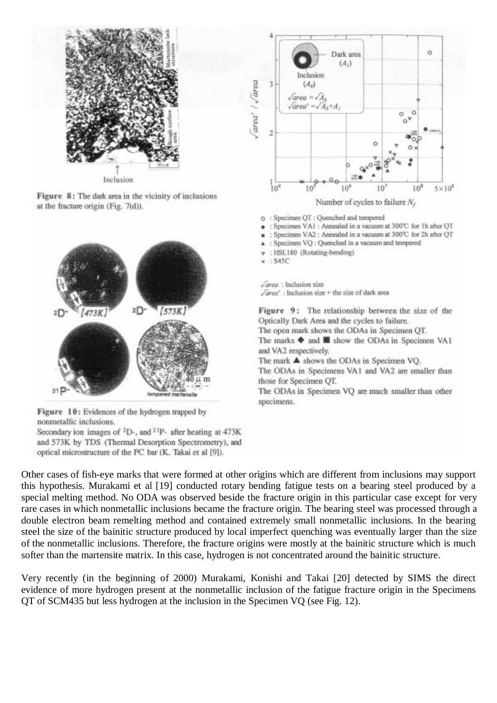

Figure 8: The dark area in the vicinity of inclusions at the fracture origin (Fig. 7(d)).



Figure 10: Evidences of the hydrogen trapped by nonmetallic inclusions.

Secondary ion images of <sup>2</sup>D-, and <sup>31</sup>P- after heating at 473K and 573K by TDS (Thermal Desorption Spectrometry), and optical microstructure of the PC bar (K. Takai et al [9]).



- o : Specimen QT : Quenched and tempered
- · : Specimen VA1 : Annealed in a vacuum at 300°C for 1h after QT
- Specimen VA2 : Annealed in a vacuum at 300°C for 2h after OT  $\blacksquare$
- : Specimen VQ : Quenched in a vacuum and tempered Ä
- : HSL180 (Rotating-bending) v

 $+$  S45C  $\mathbf{x}$ 

 $\sqrt{area}$ : Inclusion size  $\sqrt{area'}$ : Inclusion size + the size of dark area

Figure 9: The relationship between the size of the Optically Dark Area and the cycles to failure.

The open mark shows the ODAs in Specimen OT.

The marks  $\blacklozenge$  and  $\blacksquare$  show the ODAs in Specimen VA1 and VA2 respectively.

The mark  $\blacktriangle$  shows the ODAs in Specimen VQ.

The ODAs in Specimens VA1 and VA2 are smaller than those for Specimen QT.

The ODAs in Specimen VQ are much smaller than other specimens.

Other cases of fish-eye marks that were formed at other origins which are different from inclusions may support this hypothesis. Murakami et al [19] conducted rotary bending fatigue tests on a bearing steel produced by a special melting method. No ODA was observed beside the fracture origin in this particular case except for very rare cases in which nonmetallic inclusions became the fracture origin. The bearing steel was processed through a double electron beam remelting method and contained extremely small nonmetallic inclusions. In the bearing steel the size of the bainitic structure produced by local imperfect quenching was eventually larger than the size of the nonmetallic inclusions. Therefore, the fracture origins were mostly at the bainitic structure which is much softer than the martensite matrix. In this case, hydrogen is not concentrated around the bainitic structure.

Very recently (in the beginning of 2000) Murakami, Konishi and Takai [20] detected by SIMS the direct evidence of more hydrogen present at the nonmetallic inclusion of the fatigue fracture origin in the Specimens QT of SCM435 but less hydrogen at the inclusion in the Specimen VQ (see Fig. 12).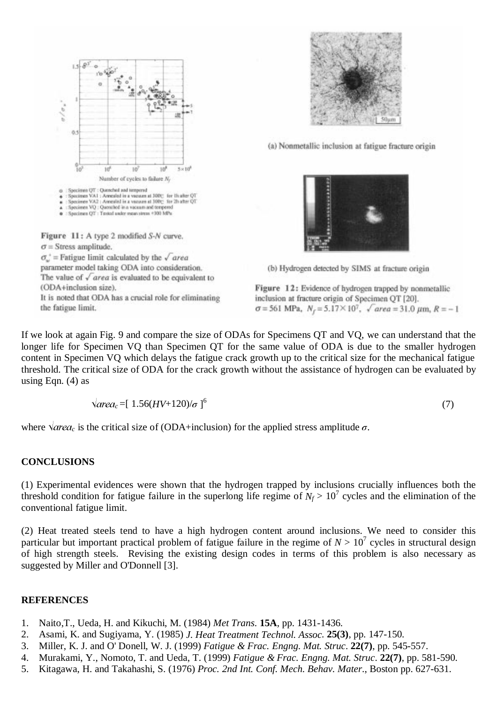

 $\sigma_{\omega}$  = Fatigue limit calculated by the  $\sqrt{area}$ parameter model taking ODA into consideration. The value of  $\sqrt{area}$  is evaluated to be equivalent to (ODA+inclusion size). It is noted that ODA has a crucial role for eliminating

the fatigue limit.



(a) Nonmetallic inclusion at fatigue fracture origin



(b) Hydrogen detected by SIMS at fracture origin

Figure 12: Evidence of hydrogen trapped by nonmetallic inclusion at fracture origin of Specimen QT [20].  $\sigma$  = 561 MPa,  $N_r$  = 5.17 × 10<sup>7</sup>,  $\sqrt{area}$  = 31.0  $\mu$ m,  $R$  = -1

If we look at again Fig. 9 and compare the size of ODAs for Specimens QT and VQ, we can understand that the longer life for Specimen VQ than Specimen QT for the same value of ODA is due to the smaller hydrogen content in Specimen VQ which delays the fatigue crack growth up to the critical size for the mechanical fatigue threshold. The critical size of ODA for the crack growth without the assistance of hydrogen can be evaluated by using Eqn.  $(4)$  as

$$
\sqrt{area_c} = [1.56(HV + 120)/\sigma]^{6}
$$
\n(7)

where  $\sqrt{area_c}$  is the critical size of (ODA+inclusion) for the applied stress amplitude  $\sigma$ .

# **CONCLUSIONS**

(1) Experimental evidences were shown that the hydrogen trapped by inclusions crucially influences both the threshold condition for fatigue failure in the superlong life regime of  $N_f > 10^7$  cycles and the elimination of the conventional fatigue limit.

(2) Heat treated steels tend to have a high hydrogen content around inclusions. We need to consider this particular but important practical problem of fatigue failure in the regime of  $N > 10^7$  cycles in structural design of high strength steels. Revising the existing design codes in terms of this problem is also necessary as suggested by Miller and O'Donnell [3].

#### **REFERENCES**

- 1. Naito,T., Ueda, H. and Kikuchi, M. (1984) *Met Trans*. **15A**, pp. 1431-1436.
- 2. Asami, K. and Sugiyama, Y. (1985) *J. Heat Treatment Technol. Assoc*. **25(3)**, pp. 147-150.
- 3. Miller, K. J. and O' Donell, W. J. (1999) *Fatigue & Frac. Engng. Mat. Struc*. **22(7)**, pp. 545-557.
- 4. Murakami, Y., Nomoto, T. and Ueda, T. (1999) *Fatigue & Frac. Engng. Mat. Struc*. **22(7)**, pp. 581-590.
- 5. Kitagawa, H. and Takahashi, S. (1976) *Proc. 2nd Int. Conf. Mech. Behav. Mater*., Boston pp. 627-631.